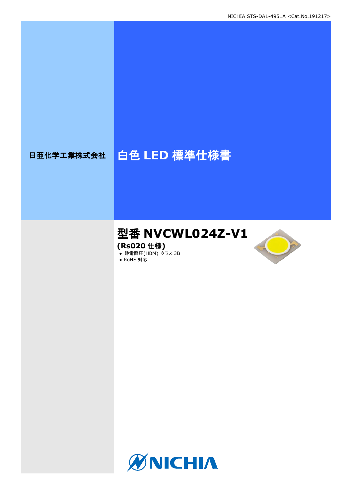# 日亜化学工業株式会社 | 白色 LED 標準仕様書

# 型番 **NVCWL024Z-V1**

**(Rs020** 仕様**)**

**● 静電耐圧(HBM) クラス 3B** 





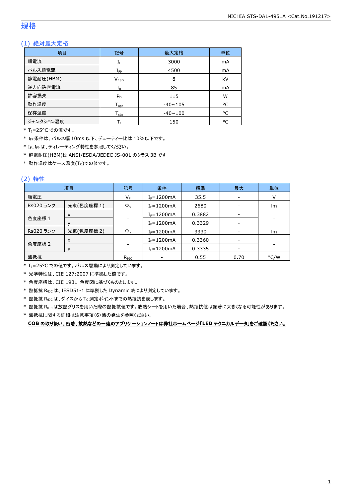## 規格

## (1) 絶対最大定格

| 項目        | 記号                 | 最大定格           | 単位 |
|-----------|--------------------|----------------|----|
| 順電流       | $I_F$              | 3000           | mA |
| パルス順電流    | $I_{\mathsf{FP}}$  | 4500           | mA |
| 静電耐圧(HBM) | V <sub>ESD</sub>   | 8              | kV |
| 逆方向許容電流   | $I_{R}$            | 85             | mA |
| 許容損失      | $P_D$              | 115            | W  |
| 動作温度      | $T_{\mathsf{opr}}$ | $-40 \sim 105$ | °C |
| 保存温度      | $T_{\rm stq}$      | $-40 \sim 100$ | °C |
| ジャンクション温度 |                    | 150            | °C |

\* TJ=25°C での値です。

\* IFP条件は、パルス幅 10ms 以下、デューティー比は 10%以下です。

\* IF、IFpは、ディレーティング特性を参照してください。

\* 静電耐圧(HBM)は ANSI/ESDA/JEDEC JS-001 のクラス 3B です。

 $*$ 動作温度はケース温度(Tc)での値です。

### (2) 特性

|           | 項目         | 記号             | 条件              | 標準     | 最大   | 単位   |
|-----------|------------|----------------|-----------------|--------|------|------|
| 順電圧       |            | V <sub>F</sub> | $I_F = 1200$ mA | 35.5   |      |      |
| Rs020 ランク | 光束(色度座標1)  | $\Phi_{\rm v}$ | $I_F = 1200mA$  | 2680   |      | Im   |
|           | X          |                | $I_F = 1200mA$  | 0.3882 |      |      |
| 色度座標 1    |            |                | $I_F = 1200mA$  | 0.3329 |      |      |
| Rs020 ランク | 光束(色度座標 2) | $\Phi_{v}$     | $I_F = 1200mA$  | 3330   |      | Im   |
|           | X          |                | $I_F = 1200mA$  | 0.3360 |      |      |
| 色度座標 2    |            |                | $I_F = 1200mA$  | 0.3335 | -    |      |
| 熱抵抗       |            | $R_{\theta$ JC |                 | 0.55   | 0.70 | °C/W |

\* TJ=25°C での値です。パルス駆動により測定しています。

\* 光学特性は、CIE 127:2007 に準拠した値です。

\* 色度座標は、CIE 1931 色度図に基づくものとします。

\* 熱抵抗 RθJCは、JESD51-1 に準拠した Dynamic 法により測定しています。

 $*$  熱抵抗  $R_{\theta JC}$ は、ダイスから Tc 測定ポイントまでの熱抵抗を表します。

\* 熱抵抗 R<sub>0JC</sub>は放熱グリスを用いた際の熱抵抗値です。放熱シートを用いた場合、熱抵抗値は顕著に大きくなる可能性があります。

\* 熱抵抗に関する詳細は注意事項(6)熱の発生を参照ください。

**COB** の取り扱い、密着、放熱などの一連のアプリケーションノートは弊社ホームページ「**LED** テクニカルデータ」をご確認ください。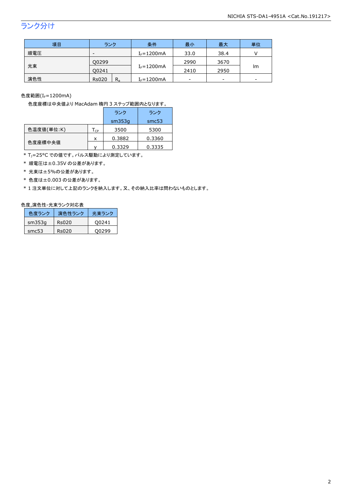## ランク分け

| 項目  | ランク                     | 条件             | 最小   | 最大   | 単位 |
|-----|-------------------------|----------------|------|------|----|
| 順電圧 | -                       | $I_F = 1200mA$ | 33.0 | 38.4 |    |
|     | Q0299                   |                | 2990 | 3670 |    |
| 光束  | $I_F = 1200mA$<br>00241 |                | 2410 | 2950 | Im |
| 演色性 | <b>Rs020</b><br>$R_{a}$ | $I_F = 1200mA$ |      | -    |    |

色度範囲(I<sub>F</sub>=1200mA)

色度座標は中央値より MacAdam 楕円 3 ステップ範囲内となります。

|            |                            | ランク    | ランク    |
|------------|----------------------------|--------|--------|
|            |                            | sm353q | smc53  |
| 色温度値(単位:K) | $\mathsf{T}_{\mathsf{CP}}$ | 3500   | 5300   |
|            | X                          | 0.3882 | 0.3360 |
| 色度座標中央値    |                            | 0.3329 | 0.3335 |

\* T<sub>J</sub>=25°C での値です。パルス駆動により測定しています。

\* 順電圧は±0.35V の公差があります。

\* 光束は±5%の公差があります。

\* 色度は±0.003 の公差があります。

\* 1 注文単位に対して上記のランクを納入します。又、その納入比率は問わないものとします。

## 色度,演色性-光束ランク対応表

| 色度ランク  | 演色性ランク | 光東ランク |
|--------|--------|-------|
| sm353q | Rs020  | 00241 |
| smc53  | Rs020  | O0299 |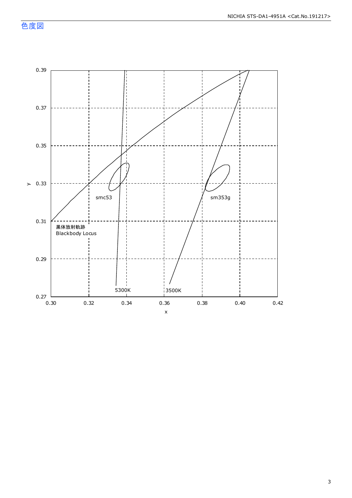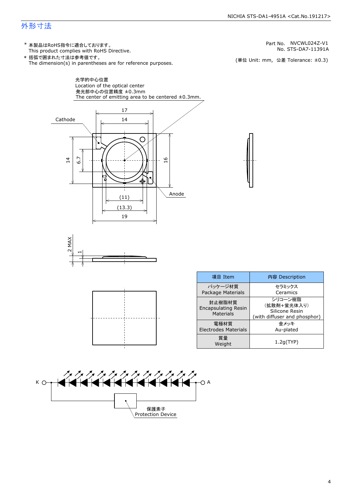## 外形寸法

(単位 Unit: mm) This product complies with RoHS Directive. \* 本製品はRoHS指令に適合しております。 (単位 Unit: mm, 公差 Tolerance: ±0.3) STS-DA7-11391A NVCWL024Z-V1 The dimension(s) in parentheses are for reference purposes. \* 括弧で囲まれた寸法は参考値です。 No. Part No.







| 項目 Item                                           | 内容 Description                                                           |
|---------------------------------------------------|--------------------------------------------------------------------------|
| パッケージ材質<br>Package Materials                      | セラミックス<br>Ceramics                                                       |
| 封止樹脂材質<br><b>Encapsulating Resin</b><br>Materials | シリコーン樹脂<br>(拡散剤+蛍光体入り)<br>Silicone Resin<br>(with diffuser and phosphor) |
| 電極材質<br><b>Electrodes Materials</b>               | 金メッキ<br>Au-plated                                                        |
| 質量<br>Weight                                      | 1.2q(TYP)                                                                |

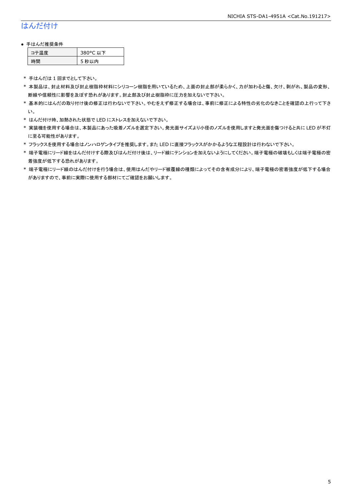## はんだ付け

#### ● 手はんだ推奨条件

| テ温度 | 380°C 以下 |
|-----|----------|
| .間  | 5 秒以内    |

\* 手はんだは 1 回までとして下さい。

- \* 本製品は、封止材料及び封止樹脂枠材料にシリコーン樹脂を用いているため、上面の封止部が柔らかく、力が加わると傷、欠け、剥がれ、製品の変形、 断線や信頼性に影響を及ぼす恐れがあります。封止部及び封止樹脂枠に圧力を加えないで下さい。
- \* 基本的にはんだの取り付け後の修正は行わないで下さい。やむをえず修正する場合は、事前に修正による特性の劣化のなきことを確認の上行って下さ い。
- \* はんだ付け時、加熱された状態で LED にストレスを加えないで下さい。
- \* 実装機を使用する場合は、本製品にあった吸着ノズルを選定下さい。発光面サイズより小径のノズルを使用しますと発光面を傷つけると共に LED が不灯 に至る可能性があります。
- \* フラックスを使用する場合はノンハロゲンタイプを推奨します。また LED に直接フラックスがかかるような工程設計は行わないで下さい。
- \* 端子電極にリード線をはんだ付けする際及びはんだ付け後は、リード線にテンションを加えないようにしてください。端子電極の破壊もしくは端子電極の密 着強度が低下する恐れがあります。
- \* 端子電極にリード線のはんだ付けを行う場合は、使用はんだやリード被覆線の種類によってその含有成分により、端子電極の密着強度が低下する場合 がありますので、事前に実際に使用する部材にてご確認をお願いします。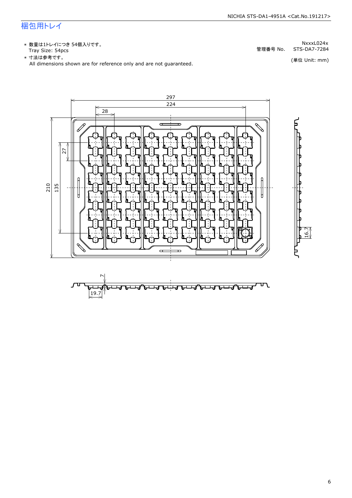## 梱包用トレイ

\* 数量は1トレイにつき 54個入りです。<br>Tray Size: 54pcs

\* 数量は1トレイにつき 54個入りです。<br>Tray Size: 54pcs<br>\* 寸法は参考です。<br>All dimensions shown are for reference only and are not guaranteed. \* づはは はいいい (単位 Unit: mm)<br>All dimensions shown are for reference only and are not guaranteed.



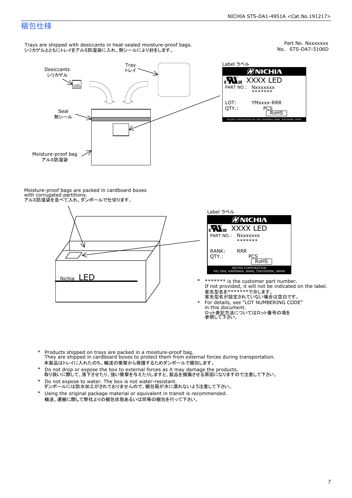## 梱包仕様

Trays are shipped with desiccants in heat-sealed moisture-proof bags. シリカゲルとともにトレイをアルミ防湿袋に入れ、熱シールにより封をします。



Part No. Nxxxxxxx<br>No. STS-DA7-5106D



Moisture-proof bags are packed in cardboard boxes with corrugated partitions. アルミ防湿袋を並べて入れ、ダンボールで仕切ります。





- \* \*\*\*\*\*\*\* is the customer part number.<br>If not provided, it will not be indicated on the label.<br>客先型名が設定されていない場合は空白です。
- For details, see "LOT NUMBERING CODE"<br>in this document.<br>ロット表記方法についてはロット番号の項を<br>参照して下さい。
- \* Products shipped on trays are packed in a moisture-proof bag.<br>They are shipped in cardboard boxes to protect them from external forces du<br>本製品はトレイに入れたのち、輸送の衝撃から保護するためダンボールで梱包します。<br>\* Do not drop or expose the box to exter Products shipped on trays are packed in a moisture-proof bag. They are shipped in cardboard boxes to protect them from external forces during transportation. 本製品はトレイに入れたのち、輸送の衝撃から保護するためダンボールで梱包します。
- Do not drop or expose the box to external forces as it may damage the products. \*
- 取り扱いに際して、落下させたり、強い衝撃を与えたりしますと、製品を損傷させる原因になりますので注意して下さい。 Do not expose to water. The box is not water-resistant. \*
- ダンボールには防水加工がされておりませんので、梱包箱が水に濡れないよう注意して下さい。 \*
- 輸送、運搬に際して弊社よりの梱包状態あるいは同等の梱包を行って下さい。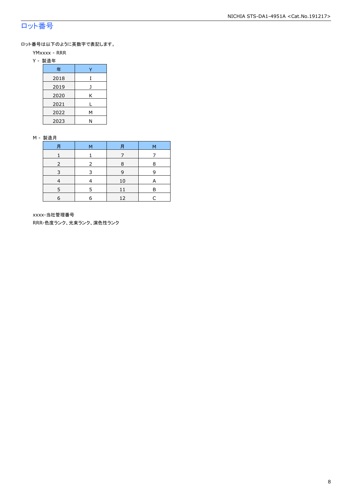## ロット番号

ロット番号は以下のように英数字で表記します。

- YMxxxx RRR
- Y 製造年

| 年    |   |
|------|---|
| 2018 |   |
| 2019 |   |
| 2020 | Κ |
| 2021 |   |
| 2022 | Μ |
| 2023 | Ν |

#### M - 製造月

| 月          | M | 月  | М |
|------------|---|----|---|
|            |   |    |   |
|            |   | 8  | 8 |
| 3          | ₹ | 9  | q |
|            |   | 10 |   |
|            | 5 | 11 | R |
| $\epsilon$ | 6 | 12 |   |

xxxx-当社管理番号

RRR-色度ランク、光束ランク、演色性ランク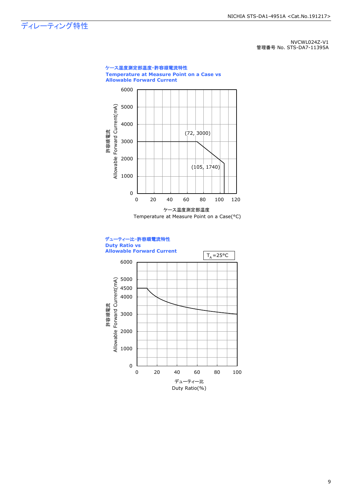ディレーティング特性

NVCWL024Z-V1 管理番号 No. STS-DA7-11395A



Duty Ratio(%)

9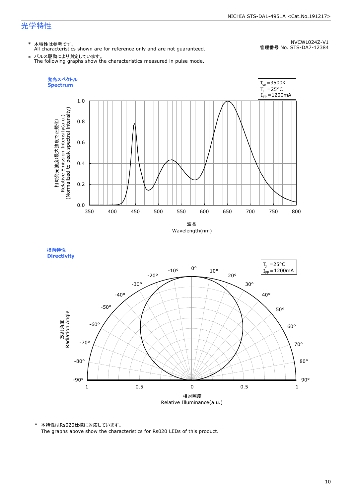## 光学特性

\* 本特性は参考です。 All characteristics shown are for reference only and are not guaranteed.

NVCWL024Z-V1 管理番号 No. STS-DA7-12384

\* パルス駆動により測定しています。 The following graphs show the characteristics measured in pulse mode.







\* 本特性はRs020仕様に対応しています。

The graphs above show the characteristics for Rs020 LEDs of this product.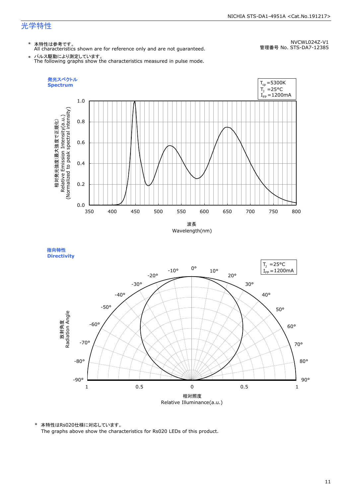## 光学特性

\* 本特性は参考です。 All characteristics shown are for reference only and are not guaranteed.

NVCWL024Z-V1 管理番号 No. STS-DA7-12385

\* パルス駆動により測定しています。 The following graphs show the characteristics measured in pulse mode.





\* 本特性はRs020仕様に対応しています。

The graphs above show the characteristics for Rs020 LEDs of this product.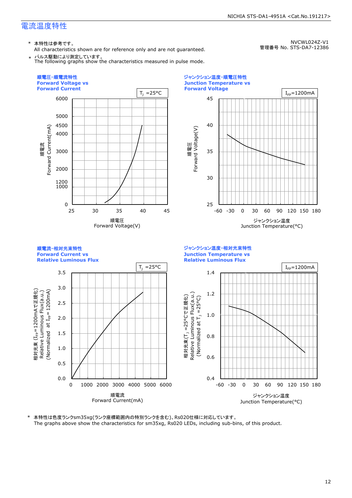\* 本特性は参考です。

All characteristics shown are for reference only and are not guaranteed.

NVCWL024Z-V1 管理番号 No. STS-DA7-12386





本特性は色度ランクsm35xg(ランク座標範囲内の特別ランクを含む)、Rs020仕様に対応しています。 The graphs above show the characteristics for sm35xg, Rs020 LEDs, including sub-bins, of this product.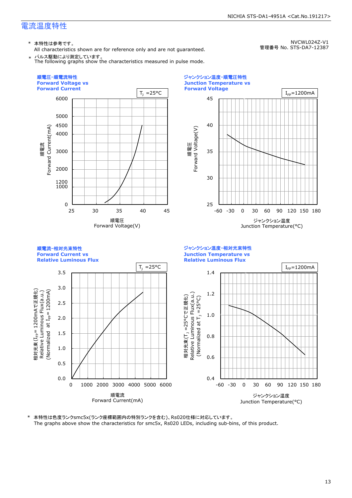\* 本特性は参考です。

All characteristics shown are for reference only and are not guaranteed.

NVCWL024Z-V1 管理番号 No. STS-DA7-12387





本特性は色度ランクsmc5x(ランク座標範囲内の特別ランクを含む)、Rs020仕様に対応しています。 The graphs above show the characteristics for smc5x, Rs020 LEDs, including sub-bins, of this product.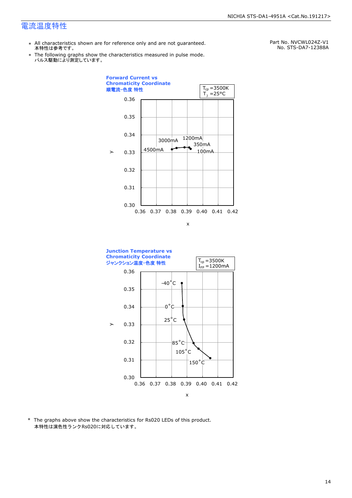- \* All characteristics shown are for reference only and are not guaranteed. 本特性は参考です。
- \* Ine following graphs show tr<br>パルス駆動により測定しています。 The following graphs show the characteristics measured in pulse mode.

Part No. NVCWL024Z-V1 No. STS-DA7-12388A





\* The graphs above show the characteristics for Rs020 LEDs of this product. 本特性は演色性ランクRs020に対応しています。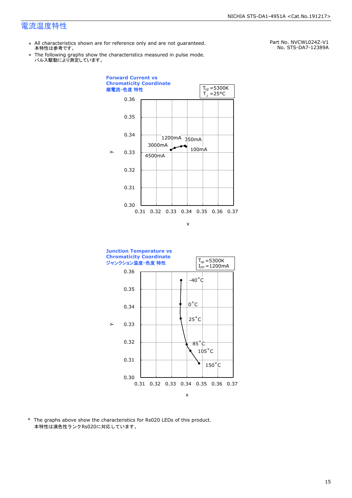- \* All characteristics shown are for reference only and are not guaranteed. 本特性は参考です。
- \* Ine following graphs show tr<br>パルス駆動により測定しています。 The following graphs show the characteristics measured in pulse mode.

Part No. NVCWL024Z-V1 No. STS-DA7-12389A





\* The graphs above show the characteristics for Rs020 LEDs of this product. 本特性は演色性ランクRs020に対応しています。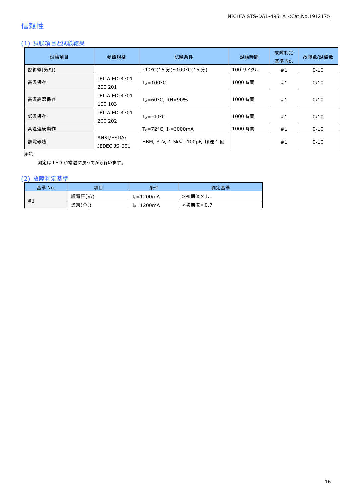## 信頼性

## (1) 試験項目と試験結果

| 試験項目    | 参照規格                            | 試験条件                           | 試験時間     | 故障判定<br>基準 No. | 故障数/試験数 |
|---------|---------------------------------|--------------------------------|----------|----------------|---------|
| 熱衝撃(気相) |                                 | -40°C(15 分)~100°C(15 分)        | 100 サイクル | #1             | 0/10    |
| 高温保存    | <b>JEITA ED-4701</b><br>200 201 | $T_A = 100^{\circ}C$           | 1000 時間  | #1             | 0/10    |
| 高温高湿保存  | <b>JEITA ED-4701</b><br>100 103 | $T_A = 60^{\circ}$ C, RH = 90% | 1000 時間  | #1             | 0/10    |
| 低温保存    | <b>JEITA ED-4701</b><br>200 202 | $T_{\text{A}} = -40^{\circ}C$  | 1000 時間  | #1             | 0/10    |
| 高温連続動作  |                                 | $T_c = 72$ °C, $I_F = 3000$ mA | 1000 時間  | #1             | 0/10    |
| 静電破壊    | ANSI/ESDA/<br>JEDEC JS-001      | HBM, 8kV, 1.5kΩ, 100pF, 順逆 1回  |          | #1             | 0/10    |

注記:

測定は LED が常温に戻ってから行います。

## (2) 故障判定基準

| 基準 No. | 項目                    | 条件              | 判定基準                              |
|--------|-----------------------|-----------------|-----------------------------------|
|        | 順電圧(VF)               | $I_F = 1200$ mA | >初期値<br>$\overline{5} \times 1.1$ |
| #1     | 光束(<br>$\phi_{\rm v}$ | $f_F = 1200$ mA | <初期値×0.7                          |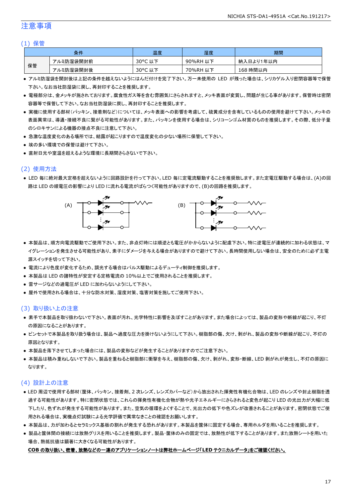## 注意事項

#### (1) 保管

|    | 条件        | 温度      | 湿度       | 期間        |
|----|-----------|---------|----------|-----------|
|    | アルミ防湿袋開封前 | 30°C 以下 | 90%RH 以下 | 納入日より1年以内 |
| 保管 | アルミ防湿袋開封後 | 30°C 以下 | 70%RH 以下 | 168 時間以内  |

- アルミ防湿袋を開封後は上記の条件を越えないようにはんだ付けを完了下さい。万一未使用の LED が残った場合は、シリカゲル入り密閉容器等で保管 下さい。なお当社防湿袋に戻し、再封印することを推奨します。
- 電極部分は、金メッキが施されております。腐食性ガス等を含む雰囲気にさらされますと、メッキ表面が変質し、問題が生じる事があります。保管時は密閉 容器等で保管して下さい。なお当社防湿袋に戻し、再封印することを推奨します。
- 実機に使用する部材(パッキン、接着剤など)については、メッキ表面への影響を考慮して、硫黄成分を含有しているものの使用を避けて下さい。メッキの 表面異常は、導通・接続不良に繋がる可能性があります。また、パッキンを使用する場合は、シリコーンゴム材質のものを推奨します。その際、低分子量 のシロキサンによる機器の接点不良に注意して下さい。
- 急激な温度変化のある場所では、結露が起こりますので温度変化の少ない場所に保管して下さい。
- 埃の多い環境での保管は避けて下さい。
- 直射日光や室温を超えるような環境に長期間さらさないで下さい。

## (2) 使用方法

● LED 毎に絶対最大定格を超えないように回路設計を行って下さい。LED 毎に定電流駆動することを推奨致します。また定電圧駆動する場合は、(A)の回 路は LED の順電圧の影響により LED に流れる電流がばらつく可能性がありますので、(B)の回路を推奨します。



- 本製品は、順方向電流駆動でご使用下さい。また、非点灯時には順逆とも電圧がかからないように配慮下さい。特に逆電圧が連続的に加わる状態は、マ イグレーションを発生させる可能性があり、素子にダメージを与える場合がありますので避けて下さい。長時間使用しない場合は、安全のために必ず主電 源スイッチを切って下さい。
- 電流により色度が変化するため、調光する場合はパルス駆動によるデューティ制御を推奨します。
- 本製品は LED の諸特性が安定する定格電流の 10%以上でご使用されることを推奨します。
- 雷サージなどの過電圧が LED に加わらないようにして下さい。
- 屋外で使用される場合は、十分な防水対策、湿度対策、塩害対策を施してご使用下さい。

#### (3) 取り扱い上の注意

- 素手で本製品を取り扱わないで下さい。表面が汚れ、光学特性に影響を及ぼすことがあります。また場合によっては、製品の変形や断線が起こり、不灯 の原因になることがあります。
- ピンセットで本製品を取り扱う場合は、製品へ過度な圧力を掛けないようにして下さい。樹脂部の傷、欠け、剥がれ、製品の変形や断線が起こり、不灯の 原因となります。
- 本製品を落下させてしまった場合には、製品の変形などが発生することがありますのでご注意下さい。
- 本製品は積み重ねしないで下さい。製品を重ねると樹脂部に衝撃を与え、樹脂部の傷、欠け、剥がれ、変形・断線、LED 剥がれが発生し、不灯の原因に なります。

## (4) 設計上の注意

- LED 周辺で使用する部材(筐体、パッキン、接着剤、2 次レンズ、レンズカバーなど)から放出された揮発性有機化合物は、LED のレンズや封止樹脂を透 過する可能性があります。特に密閉状態では、これらの揮発性有機化合物が熱や光子エネルギーにさらされると変色が起こり LED の光出力が大幅に低 下したり、色ずれが発生する可能性があります。また、空気の循環をよくすることで、光出力の低下や色ズレが改善されることがあります。密閉状態でご使 用される場合は、実機点灯試験による光学評価で異常なきことの確認をお願いします。
- 本製品は、力が加わるとセラミックス基板の割れが発生する恐れがあります。本製品を筐体に固定する場合、専用ホルダを用いることを推奨します。
- 製品と筐体間の接続には放熱グリスを用いることを推奨します。製品・筐体のみの固定では、放熱性が低下することがあります。また放熱シートを用いた 場合、熱抵抗値は顕著に大きくなる可能性があります。

#### **COB** の取り扱い、密着、放熱などの一連のアプリケーションノートは弊社ホームページ「**LED** テクニカルデータ」をご確認ください。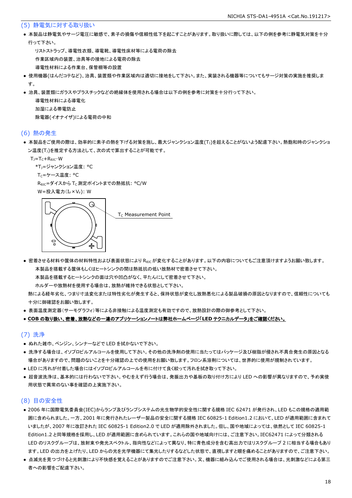#### (5) 静電気に対する取り扱い

● 本製品は静電気やサージ電圧に敏感で、素子の損傷や信頼性低下を起こすことがあります。取り扱いに際しては、以下の例を参考に静電気対策を十分 行って下さい。

 リストストラップ、導電性衣類、導電靴、導電性床材等による電荷の除去 作業区域内の装置、治具等の接地による電荷の除去 導電性材料による作業台、保管棚等の設置

- 使用機器(はんだコテなど)、治具、装置類や作業区域内は適切に接地をして下さい。また、実装される機器等についてもサージ対策の実施を推奨しま す。
- 治具、装置類にガラスやプラスチックなどの絶縁体を使用される場合は以下の例を参考に対策を十分行って下さい。

 導電性材料による導電化 加湿による帯電防止 除電器(イオナイザ)による電荷の中和

#### (6) 熱の発生

● 本製品をご使用の際は、効率的に素子の熱を下げる対策を施し、最大ジャンクション温度(T」)を超えることがないよう配慮下さい。熱飽和時のジャンクショ ン温度(T<sub>J</sub>)を推定する方法として、次の式で算出することが可能です。

 $T_J = T_C + R_{\theta JC} \cdot W$ 

```
*T<sub>1</sub>=ジャンクション温度: °C
```
T<sub>C</sub>=ケース温度: °C

R<sub>0JC</sub>=ダイスから T<sub>C</sub> 測定ポイントまでの熱抵抗: °C/W

W=投入電力(I<sub>F</sub>×V<sub>F</sub>): W



● 密着させる材料や筐体の材料特性および表面状態により R<sub>θIC</sub>が変化することがあります。以下の内容についてもご注意頂けますようお願い致します。 本製品を搭載する筐体もしくはヒートシンクの間は熱抵抗の低い放熱材で密着させて下さい。

本製品を搭載するヒートシンクの面は穴や凹凸がなく、平たんにして密着させて下さい。

ホルダーや放熱材を使用する場合は、放熱が維持できる状態として下さい。

 熱による経年劣化、つまり寸法変化または特性劣化が発生すると、保持状態が変化し放熱悪化による製品破損の原因となりますので、信頼性についても 十分に御確認をお願い致します。

● 表面温度測定器(サーモグラフィ)等による非接触による温度測定も有効ですので、放熱設計の際の御参考として下さい。

#### ● **COB** の取り扱い、密着、放熱などの一連のアプリケーションノートは弊社ホームページ「**LED** テクニカルデータ」をご確認ください。

#### (7) 洗浄

- ぬれた雑巾、ベンジン、シンナーなどで LED を拭かないで下さい。
- 洗浄する場合は、イソプロピルアルコールを使用して下さい。その他の洗浄剤の使用に当たってはパッケージ及び樹脂が侵され不具合発生の原因となる 場合がありますので、問題のないことを十分確認の上での使用をお願い致します。フロン系溶剤については、世界的に使用が規制されています。
- LED に汚れが付着した場合にはイソプロピルアルコールを布に付けて良く絞って汚れを拭き取って下さい。
- 超音波洗浄は、基本的には行わないで下さい。やむをえず行う場合は、発振出力や基板の取り付け方により LED への影響が異なりますので、予め実使 用状態で異常のない事を確認の上実施下さい。

#### (8) 目の安全性

- 2006 年に国際電気委員会(IEC)からランプ及びランプシステムの光生物学的安全性に関する規格 IEC 62471 が発行され、LED もこの規格の適用範 囲に含められました。一方、2001 年に発行されたレーザー製品の安全に関する規格 IEC 60825-1 Edition1.2 において、LED が適用範囲に含まれて いましたが、2007 年に改訂された IEC 60825-1 Edition2.0 で LED が適用除外されました。但し、国や地域によっては、依然として IEC 60825-1 Edition1.2 と同等規格を採用し、LED が適用範囲に含められています。これらの国や地域向けには、ご注意下さい。IEC62471 によって分類される LED のリスクグループは、放射束や発光スペクトル、指向性などによって異なり、特に青色成分を含む高出力ではリスクグループ 2 に相当する場合もあり ます。LED の出力を上げたり、LED からの光を光学機器にて集光したりするなどした状態で、直視しますと眼を痛めることがありますので、ご注意下さい。
- 点滅光を見つづけると光刺激により不快感を覚えることがありますのでご注意下さい。又、機器に組み込んでご使用される場合は、光刺激などによる第三 者への影響をご配慮下さい。